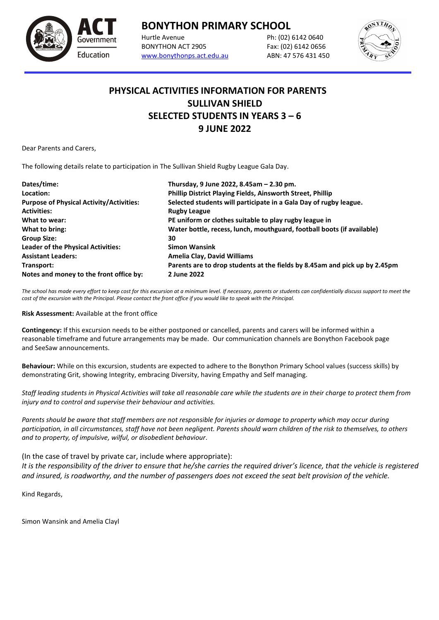

## **BONYTHON PRIMARY SCHOOL**<br>Hurtle Avenue<br>Ph: (02)

BONYTHON ACT 2905 Fax: (02) 6142 0656 [www.bonythonps.act.edu.au](http://www.bonythonps.act.edu.au/) ABN: 47 576 431 450

Ph: (02) 6142 0640



## **PHYSICAL ACTIVITIES INFORMATION FOR PARENTS SULLIVAN SHIELD SELECTED STUDENTS IN YEARS 3 – 6 9 JUNE 2022**

Dear Parents and Carers,

The following details relate to participation in The Sullivan Shield Rugby League Gala Day.

| Dates/time:                                     | Thursday, 9 June 2022, 8.45am - 2.30 pm.                                   |
|-------------------------------------------------|----------------------------------------------------------------------------|
| Location:                                       | Phillip District Playing Fields, Ainsworth Street, Phillip                 |
| <b>Purpose of Physical Activity/Activities:</b> | Selected students will participate in a Gala Day of rugby league.          |
| <b>Activities:</b>                              | <b>Rugby League</b>                                                        |
| What to wear:                                   | PE uniform or clothes suitable to play rugby league in                     |
| What to bring:                                  | Water bottle, recess, lunch, mouthguard, football boots (if available)     |
| <b>Group Size:</b>                              | 30                                                                         |
| <b>Leader of the Physical Activities:</b>       | <b>Simon Wansink</b>                                                       |
| <b>Assistant Leaders:</b>                       | <b>Amelia Clay, David Williams</b>                                         |
| Transport:                                      | Parents are to drop students at the fields by 8.45am and pick up by 2.45pm |
| Notes and money to the front office by:         | 2 June 2022                                                                |

*The school has made every effort to keep cost for this excursion at a minimum level. If necessary, parents or students can confidentially discuss support to meet the cost of the excursion with the Principal. Please contact the front office if you would like to speak with the Principal.*

**Risk Assessment:** Available at the front office

**Contingency:** If this excursion needs to be either postponed or cancelled, parents and carers will be informed within a reasonable timeframe and future arrangements may be made. Our communication channels are Bonython Facebook page and SeeSaw announcements.

**Behaviour:** While on this excursion, students are expected to adhere to the Bonython Primary School values (success skills) by demonstrating Grit, showing Integrity, embracing Diversity, having Empathy and Self managing.

*Staff leading students in Physical Activities will take all reasonable care while the students are in their charge to protect them from injury and to control and supervise their behaviour and activities.* 

*Parents should be aware that staff members are not responsible for injuries or damage to property which may occur during participation, in all circumstances, staff have not been negligent. Parents should warn children of the risk to themselves, to others and to property, of impulsive, wilful, or disobedient behaviour*.

(In the case of travel by private car, include where appropriate):

*It is the responsibility of the driver to ensure that he/she carries the required driver's licence, that the vehicle is registered and insured, is roadworthy, and the number of passengers does not exceed the seat belt provision of the vehicle.*

Kind Regards,

Simon Wansink and Amelia Clayl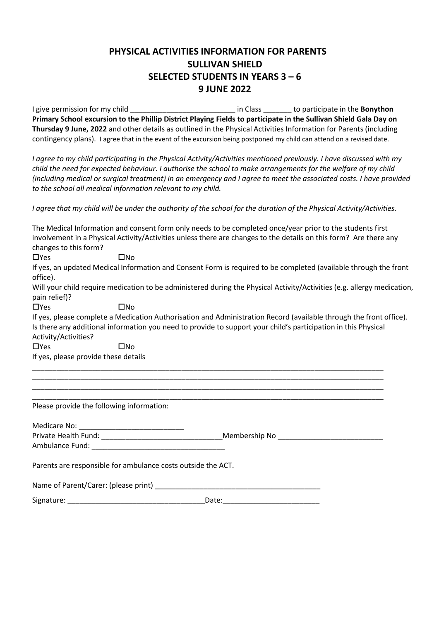## **PHYSICAL ACTIVITIES INFORMATION FOR PARENTS SULLIVAN SHIELD SELECTED STUDENTS IN YEARS 3 – 6 9 JUNE 2022**

I give permission for my child \_\_\_\_\_\_\_\_\_\_\_\_\_\_\_\_\_\_\_\_\_\_\_\_\_\_ in Class \_\_\_\_\_\_\_ to participate in the **Bonython Primary School excursion to the Phillip District Playing Fields to participate in the Sullivan Shield Gala Day on Thursday 9 June, 2022** and other details as outlined in the Physical Activities Information for Parents (including contingency plans). I agree that in the event of the excursion being postponed my child can attend on a revised date.

*I agree to my child participating in the Physical Activity/Activities mentioned previously. I have discussed with my child the need for expected behaviour. I authorise the school to make arrangements for the welfare of my child (including medical or surgical treatment) in an emergency and I agree to meet the associated costs. I have provided to the school all medical information relevant to my child.* 

*I agree that my child will be under the authority of the school for the duration of the Physical Activity/Activities.* 

| changes to this form?                     | The Medical Information and consent form only needs to be completed once/year prior to the students first<br>involvement in a Physical Activity/Activities unless there are changes to the details on this form? Are there any       |
|-------------------------------------------|--------------------------------------------------------------------------------------------------------------------------------------------------------------------------------------------------------------------------------------|
| $\Box$ Yes                                | $\square$ No                                                                                                                                                                                                                         |
| office).                                  | If yes, an updated Medical Information and Consent Form is required to be completed (available through the front                                                                                                                     |
| pain relief)?                             | Will your child require medication to be administered during the Physical Activity/Activities (e.g. allergy medication,                                                                                                              |
| $\Box$ Yes                                | $\square$ No                                                                                                                                                                                                                         |
|                                           | If yes, please complete a Medication Authorisation and Administration Record (available through the front office).<br>Is there any additional information you need to provide to support your child's participation in this Physical |
| Activity/Activities?                      |                                                                                                                                                                                                                                      |
| $\Box$ Yes                                | $\square$ No                                                                                                                                                                                                                         |
| If yes, please provide these details      |                                                                                                                                                                                                                                      |
| Please provide the following information: | <u> 1989 - Johann Harry Harry Harry Harry Harry Harry Harry Harry Harry Harry Harry Harry Harry Harry Harry Harry</u>                                                                                                                |
|                                           |                                                                                                                                                                                                                                      |
|                                           |                                                                                                                                                                                                                                      |
|                                           |                                                                                                                                                                                                                                      |
|                                           | Parents are responsible for ambulance costs outside the ACT.                                                                                                                                                                         |
| Name of Parent/Carer: (please print)      |                                                                                                                                                                                                                                      |

Signature: \_\_\_\_\_\_\_\_\_\_\_\_\_\_\_\_\_\_\_\_\_\_\_\_\_\_\_\_\_\_\_\_\_\_Date:\_\_\_\_\_\_\_\_\_\_\_\_\_\_\_\_\_\_\_\_\_\_\_\_